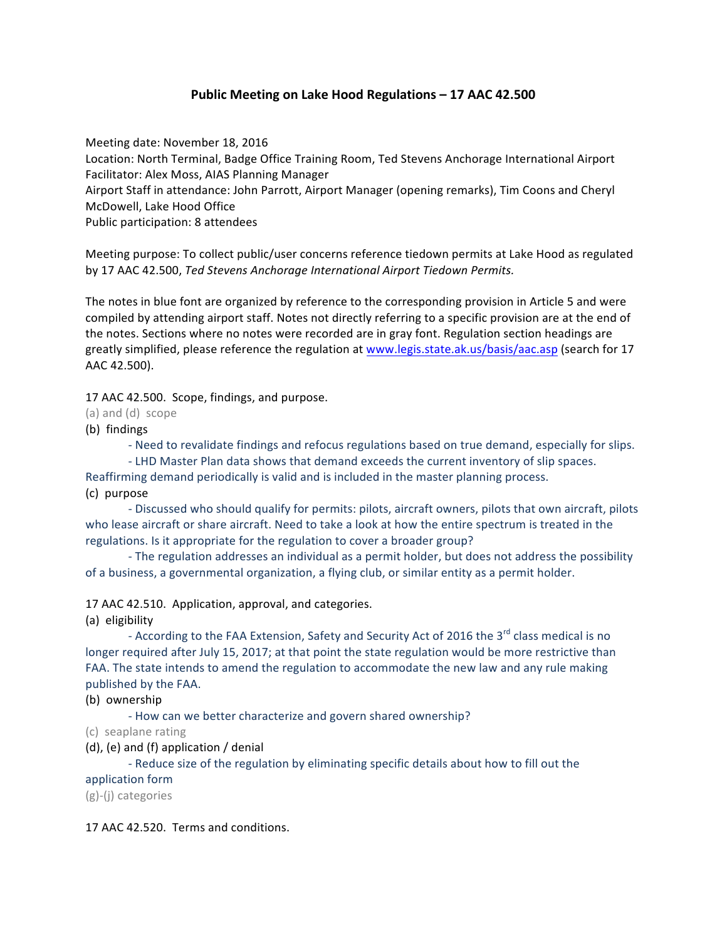# **Public Meeting on Lake Hood Regulations – 17 AAC 42.500**

Meeting date: November 18, 2016 Location: North Terminal, Badge Office Training Room, Ted Stevens Anchorage International Airport Facilitator: Alex Moss, AIAS Planning Manager Airport Staff in attendance: John Parrott, Airport Manager (opening remarks), Tim Coons and Cheryl McDowell, Lake Hood Office Public participation: 8 attendees

Meeting purpose: To collect public/user concerns reference tiedown permits at Lake Hood as regulated by 17 AAC 42.500, Ted Stevens Anchorage International Airport Tiedown Permits.

The notes in blue font are organized by reference to the corresponding provision in Article 5 and were compiled by attending airport staff. Notes not directly referring to a specific provision are at the end of the notes. Sections where no notes were recorded are in gray font. Regulation section headings are greatly simplified, please reference the regulation at www.legis.state.ak.us/basis/aac.asp (search for 17 AAC 42.500).

17 AAC 42.500. Scope, findings, and purpose.

(a) and (d) scope

(b) findings

- Need to revalidate findings and refocus regulations based on true demand, especially for slips.

- LHD Master Plan data shows that demand exceeds the current inventory of slip spaces. Reaffirming demand periodically is valid and is included in the master planning process.

(c) purpose

- Discussed who should qualify for permits: pilots, aircraft owners, pilots that own aircraft, pilots who lease aircraft or share aircraft. Need to take a look at how the entire spectrum is treated in the regulations. Is it appropriate for the regulation to cover a broader group?

- The regulation addresses an individual as a permit holder, but does not address the possibility of a business, a governmental organization, a flying club, or similar entity as a permit holder.

17 AAC 42.510. Application, approval, and categories.

(a) eligibility

- According to the FAA Extension, Safety and Security Act of 2016 the 3<sup>rd</sup> class medical is no longer required after July 15, 2017; at that point the state regulation would be more restrictive than FAA. The state intends to amend the regulation to accommodate the new law and any rule making published by the FAA.

(b) ownership

- How can we better characterize and govern shared ownership?

(c) seaplane rating

(d), (e) and (f) application / denial

- Reduce size of the regulation by eliminating specific details about how to fill out the

application form

(g)-(j) categories

17 AAC 42.520. Terms and conditions.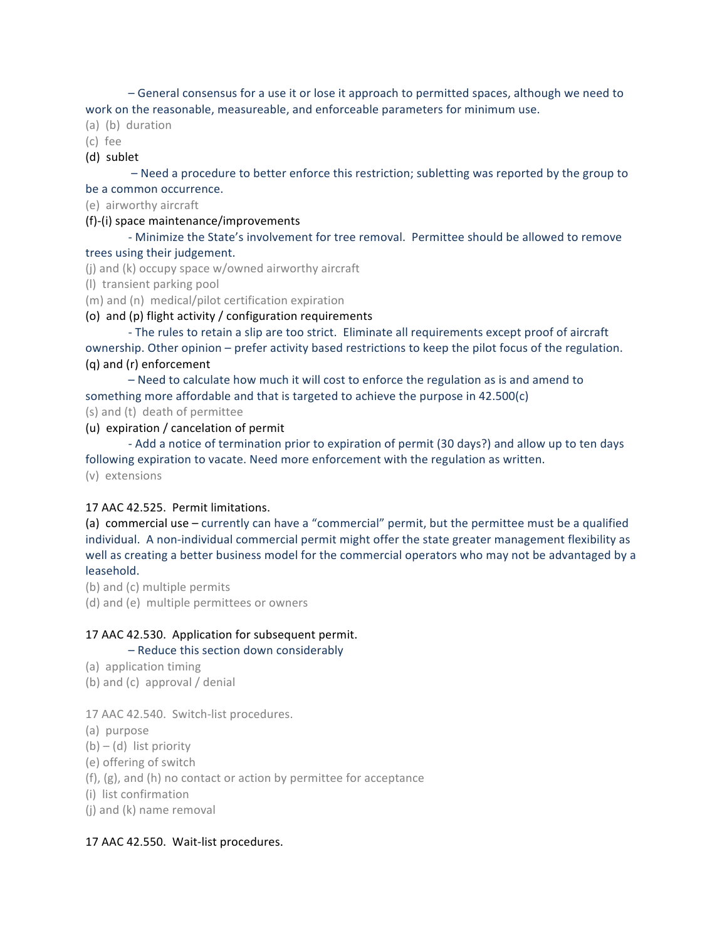$-$  General consensus for a use it or lose it approach to permitted spaces, although we need to work on the reasonable, measureable, and enforceable parameters for minimum use.

- (a) (b) duration
- (c) fee

#### (d) sublet

– Need a procedure to better enforce this restriction; subletting was reported by the group to be a common occurrence.

(e) airworthy aircraft 

### (f)-(i) space maintenance/improvements

- Minimize the State's involvement for tree removal. Permittee should be allowed to remove trees using their judgement.

- (j) and (k) occupy space  $w/owned$  airworthy aircraft
- (I) transient parking pool
- (m) and (n) medical/pilot certification expiration
- (o) and (p) flight activity / configuration requirements

- The rules to retain a slip are too strict. Eliminate all requirements except proof of aircraft ownership. Other opinion – prefer activity based restrictions to keep the pilot focus of the regulation. (q) and (r) enforcement

– Need to calculate how much it will cost to enforce the regulation as is and amend to something more affordable and that is targeted to achieve the purpose in  $42.500(c)$ 

- (s) and (t) death of permittee
- (u) expiration / cancelation of permit

- Add a notice of termination prior to expiration of permit (30 days?) and allow up to ten days following expiration to vacate. Need more enforcement with the regulation as written.

(v) extensions

#### 17 AAC 42.525. Permit limitations.

(a) commercial use – currently can have a "commercial" permit, but the permittee must be a qualified individual. A non-individual commercial permit might offer the state greater management flexibility as well as creating a better business model for the commercial operators who may not be advantaged by a leasehold. 

(b) and (c) multiple permits

(d) and (e) multiple permittees or owners

### 17 AAC 42.530. Application for subsequent permit.

#### $-$  Reduce this section down considerably

- (a) application timing
- (b) and  $(c)$  approval / denial

17 AAC 42.540. Switch-list procedures.

- (a) purpose
- $(b) (d)$  list priority
- (e) offering of switch
- $(f)$ ,  $(g)$ , and  $(h)$  no contact or action by permittee for acceptance
- (i) list confirmation

 $(i)$  and  $(k)$  name removal

### 17 AAC 42.550. Wait-list procedures.